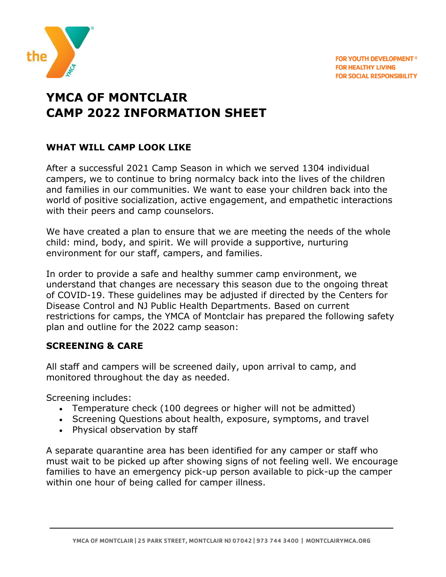

# **YMCA OF MONTCLAIR CAMP 2022 INFORMATION SHEET**

## **WHAT WILL CAMP LOOK LIKE**

After a successful 2021 Camp Season in which we served 1304 individual campers, we to continue to bring normalcy back into the lives of the children and families in our communities. We want to ease your children back into the world of positive socialization, active engagement, and empathetic interactions with their peers and camp counselors.

We have created a plan to ensure that we are meeting the needs of the whole child: mind, body, and spirit. We will provide a supportive, nurturing environment for our staff, campers, and families.

In order to provide a safe and healthy summer camp environment, we understand that changes are necessary this season due to the ongoing threat of COVID-19. These guidelines may be adjusted if directed by the Centers for Disease Control and NJ Public Health Departments. Based on current restrictions for camps, the YMCA of Montclair has prepared the following safety plan and outline for the 2022 camp season:

### **SCREENING & CARE**

All staff and campers will be screened daily, upon arrival to camp, and monitored throughout the day as needed.

Screening includes:

- Temperature check (100 degrees or higher will not be admitted)
- Screening Questions about health, exposure, symptoms, and travel
- Physical observation by staff

A separate quarantine area has been identified for any camper or staff who must wait to be picked up after showing signs of not feeling well. We encourage families to have an emergency pick-up person available to pick-up the camper within one hour of being called for camper illness.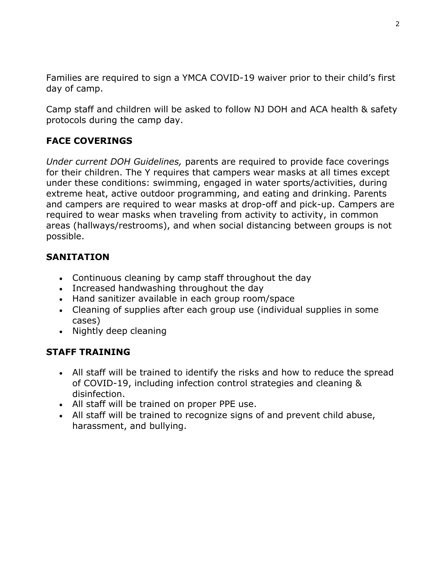Families are required to sign a YMCA COVID-19 waiver prior to their child's first day of camp.

Camp staff and children will be asked to follow NJ DOH and ACA health & safety protocols during the camp day.

# **FACE COVERINGS**

*Under current DOH Guidelines,* parents are required to provide face coverings for their children. The Y requires that campers wear masks at all times except under these conditions: swimming, engaged in water sports/activities, during extreme heat, active outdoor programming, and eating and drinking. Parents and campers are required to wear masks at drop-off and pick-up. Campers are required to wear masks when traveling from activity to activity, in common areas (hallways/restrooms), and when social distancing between groups is not possible.

### **SANITATION**

- Continuous cleaning by camp staff throughout the day
- Increased handwashing throughout the day
- Hand sanitizer available in each group room/space
- Cleaning of supplies after each group use (individual supplies in some cases)
- Nightly deep cleaning

### **STAFF TRAINING**

- All staff will be trained to identify the risks and how to reduce the spread of COVID-19, including infection control strategies and cleaning & disinfection.
- All staff will be trained on proper PPE use.
- All staff will be trained to recognize signs of and prevent child abuse, harassment, and bullying.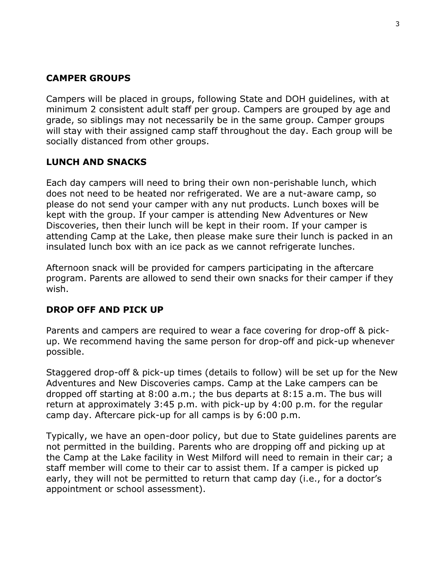### **CAMPER GROUPS**

Campers will be placed in groups, following State and DOH guidelines, with at minimum 2 consistent adult staff per group. Campers are grouped by age and grade, so siblings may not necessarily be in the same group. Camper groups will stay with their assigned camp staff throughout the day. Each group will be socially distanced from other groups.

### **LUNCH AND SNACKS**

Each day campers will need to bring their own non-perishable lunch, which does not need to be heated nor refrigerated. We are a nut-aware camp, so please do not send your camper with any nut products. Lunch boxes will be kept with the group. If your camper is attending New Adventures or New Discoveries, then their lunch will be kept in their room. If your camper is attending Camp at the Lake, then please make sure their lunch is packed in an insulated lunch box with an ice pack as we cannot refrigerate lunches.

Afternoon snack will be provided for campers participating in the aftercare program. Parents are allowed to send their own snacks for their camper if they wish.

### **DROP OFF AND PICK UP**

Parents and campers are required to wear a face covering for drop-off & pickup. We recommend having the same person for drop-off and pick-up whenever possible.

Staggered drop-off & pick-up times (details to follow) will be set up for the New Adventures and New Discoveries camps. Camp at the Lake campers can be dropped off starting at 8:00 a.m.; the bus departs at 8:15 a.m. The bus will return at approximately 3:45 p.m. with pick-up by 4:00 p.m. for the regular camp day. Aftercare pick-up for all camps is by 6:00 p.m.

Typically, we have an open-door policy, but due to State guidelines parents are not permitted in the building. Parents who are dropping off and picking up at the Camp at the Lake facility in West Milford will need to remain in their car; a staff member will come to their car to assist them. If a camper is picked up early, they will not be permitted to return that camp day (i.e., for a doctor's appointment or school assessment).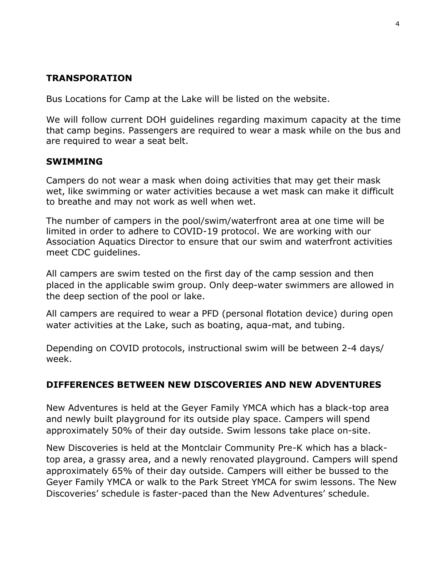### **TRANSPORATION**

Bus Locations for Camp at the Lake will be listed on the website.

We will follow current DOH guidelines regarding maximum capacity at the time that camp begins. Passengers are required to wear a mask while on the bus and are required to wear a seat belt.

#### **SWIMMING**

Campers do not wear a mask when doing activities that may get their mask wet, like swimming or water activities because a wet mask can make it difficult to breathe and may not work as well when wet.

The number of campers in the pool/swim/waterfront area at one time will be limited in order to adhere to COVID-19 protocol. We are working with our Association Aquatics Director to ensure that our swim and waterfront activities meet CDC guidelines.

All campers are swim tested on the first day of the camp session and then placed in the applicable swim group. Only deep-water swimmers are allowed in the deep section of the pool or lake.

All campers are required to wear a PFD (personal flotation device) during open water activities at the Lake, such as boating, aqua-mat, and tubing.

Depending on COVID protocols, instructional swim will be between 2-4 days/ week.

### **DIFFERENCES BETWEEN NEW DISCOVERIES AND NEW ADVENTURES**

New Adventures is held at the Geyer Family YMCA which has a black-top area and newly built playground for its outside play space. Campers will spend approximately 50% of their day outside. Swim lessons take place on-site.

New Discoveries is held at the Montclair Community Pre-K which has a blacktop area, a grassy area, and a newly renovated playground. Campers will spend approximately 65% of their day outside. Campers will either be bussed to the Geyer Family YMCA or walk to the Park Street YMCA for swim lessons. The New Discoveries' schedule is faster-paced than the New Adventures' schedule.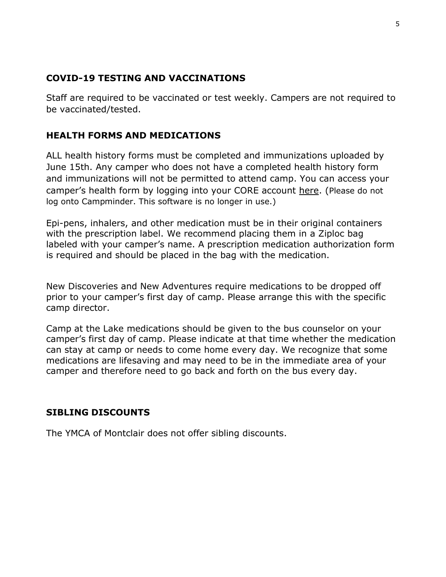#### **COVID-19 TESTING AND VACCINATIONS**

Staff are required to be vaccinated or test weekly. Campers are not required to be vaccinated/tested.

## **HEALTH FORMS AND MEDICATIONS**

ALL health history forms must be completed and immunizations uploaded by June 15th. Any camper who does not have a completed health history form and immunizations will not be permitted to attend camp. You can access your [camper's health form by logging into your CORE account](https://montclair.recliquecore.com/) here. (Please do no[t](https://montclair.recliquecore.com/) log [onto Campminder.](https://montclair.recliquecore.com/) This software is no longer in use.)

Epi-pens, inhalers, and other medication must be in their original containers with the prescription label. We recommend placing them in a Ziploc bag labeled with your camper's name. A prescription medication authorization form is required and should be placed in the bag with the medication.

New Discoveries and New Adventures require medications to be dropped off prior to your camper's first day of camp. Please arrange this with the specific camp director.

Camp at the Lake medications should be given to the bus counselor on your camper's first day of camp. Please indicate at that time whether the medication can stay at camp or needs to come home every day. We recognize that some medications are lifesaving and may need to be in the immediate area of your camper and therefore need to go back and forth on the bus every day.

### **SIBLING DISCOUNTS**

The YMCA of Montclair does not offer sibling discounts.